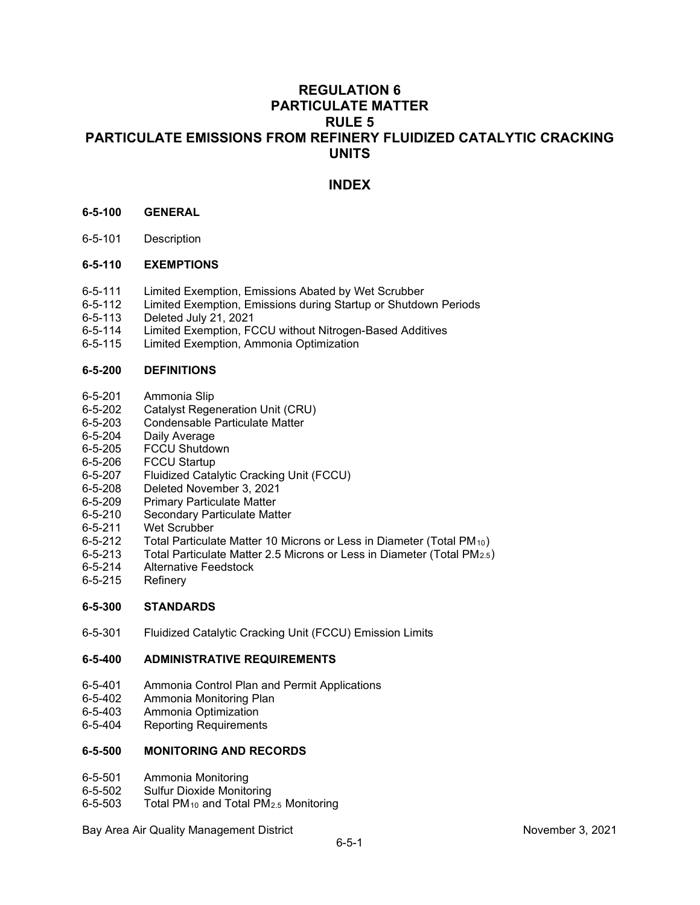# **REGULATION 6 PARTICULATE MATTER RULE 5 PARTICULATE EMISSIONS FROM REFINERY FLUIDIZED CATALYTIC CRACKING UNITS**

# **INDEX**

## **6-5-100 GENERAL**

6-5-101 Description

## **6-5-110 EXEMPTIONS**

- 6-5-111 Limited Exemption, Emissions Abated by Wet Scrubber
- 6-5-112 Limited Exemption, Emissions during Startup or Shutdown Periods<br>6-5-113 Deleted July 21, 2021
- 6-5-113 Deleted July 21, 2021
- Limited Exemption, FCCU without Nitrogen-Based Additives
- 6-5-115 Limited Exemption, Ammonia Optimization

## **6-5-200 DEFINITIONS**

- 6-5-201 Ammonia Slip<br>6-5-202 Catalyst Rege
- 6-5-202 Catalyst Regeneration Unit (CRU)
- 6-5-203 Condensable Particulate Matter<br>6-5-204 Daily Average
- Daily Average
- 6-5-205 FCCU Shutdown
- 6-5-206 FCCU Startup<br>6-5-207 Fluidized Cata
- 6-5-207 Fluidized Catalytic Cracking Unit (FCCU)
- 6-5-208 Deleted November 3, 2021
- 6-5-209 Primary Particulate Matter<br>6-5-210 Secondary Particulate Mat
- Secondary Particulate Matter
- 6-5-211 Wet Scrubber
- 6-5-212 Total Particulate Matter 10 Microns or Less in Diameter (Total PM<sub>10</sub>)<br>6-5-213 Total Particulate Matter 2.5 Microns or Less in Diameter (Total PM<sub>2.5</sub>)
- Total Particulate Matter 2.5 Microns or Less in Diameter (Total PM<sub>2.5</sub>)
- 6-5-214 Alternative Feedstock
- 6-5-215 Refinery

## **6-5-300 STANDARDS**

6-5-301 Fluidized Catalytic Cracking Unit (FCCU) Emission Limits

## **6-5-400 ADMINISTRATIVE REQUIREMENTS**

- 6-5-401 Ammonia Control Plan and Permit Applications<br>6-5-402 Ammonia Monitoring Plan
- 6-5-402 Ammonia Monitoring Plan<br>6-5-403 Ammonia Optimization
- 6-5-403 Ammonia Optimization
- 6-5-404 Reporting Requirements

## **6-5-500 MONITORING AND RECORDS**

- 6-5-501 Ammonia Monitoring
- 6-5-502 Sulfur Dioxide Monitoring<br>6-5-503 Total PM<sub>10</sub> and Total PM<sub>1</sub>
- Total PM<sub>10</sub> and Total PM<sub>2.5</sub> Monitoring

Bay Area Air Quality Management District November 3, 2021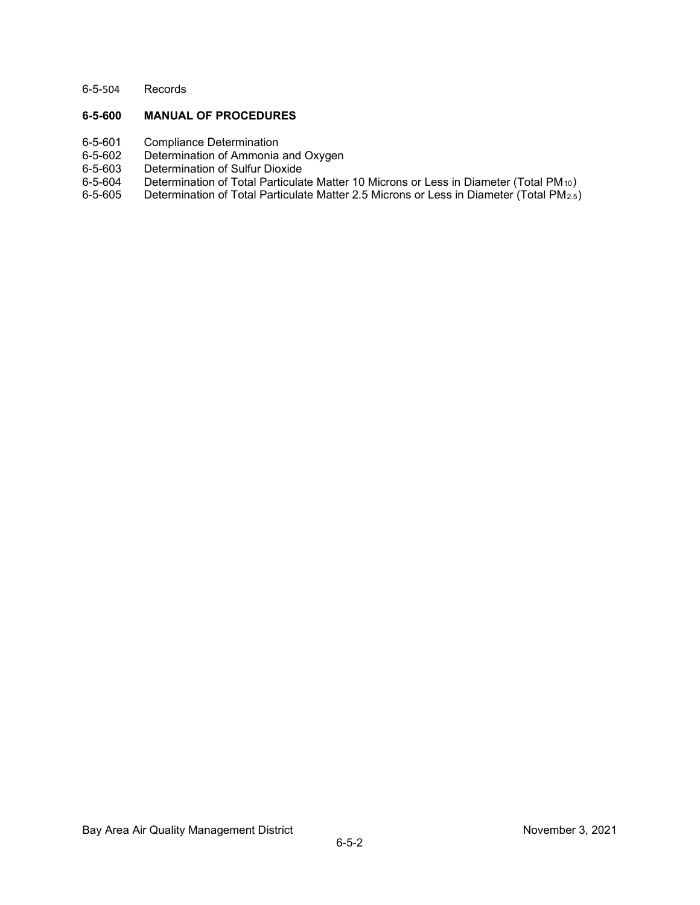6-5-504 Records

## **6-5-600 MANUAL OF PROCEDURES**

- 
- 6-5-601 Compliance Determination<br>6-5-602 Determination of Ammonia 6-5-602 Determination of Ammonia and Oxygen<br>6-5-603 Determination of Sulfur Dioxide
- 6-5-603 Determination of Sulfur Dioxide<br>6-5-604 Determination of Total Particulat
- 6-5-604 Determination of Total Particulate Matter 10 Microns or Less in Diameter (Total PM<sub>10</sub>)<br>6-5-605 Determination of Total Particulate Matter 2.5 Microns or Less in Diameter (Total PM<sub>2.5</sub>)
- Determination of Total Particulate Matter 2.5 Microns or Less in Diameter (Total PM<sub>2.5</sub>)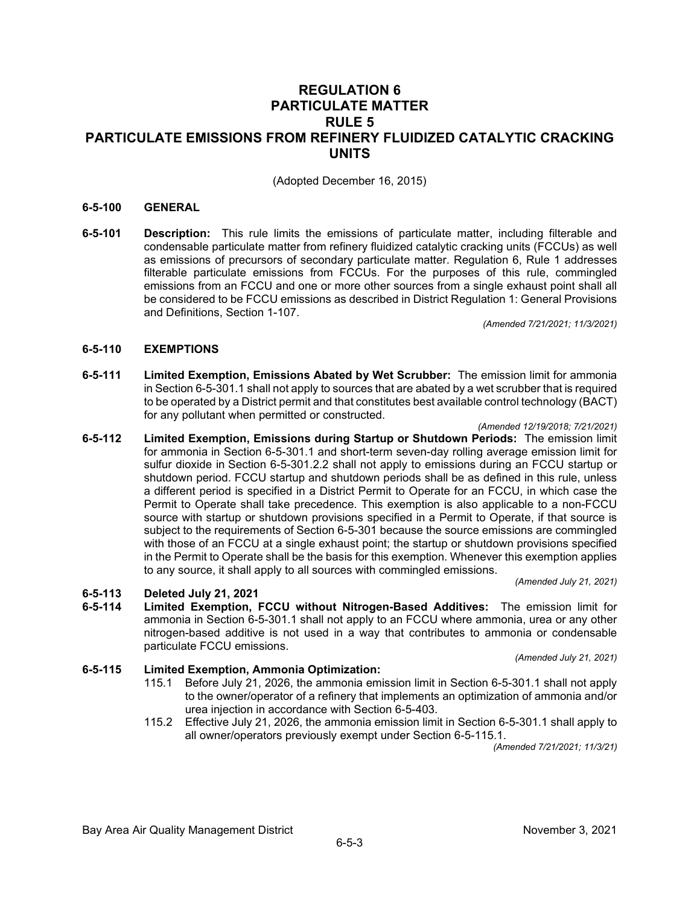## **REGULATION 6 PARTICULATE MATTER RULE 5 PARTICULATE EMISSIONS FROM REFINERY FLUIDIZED CATALYTIC CRACKING UNITS**

(Adopted December 16, 2015)

## **6-5-100 GENERAL**

**6-5-101 Description:** This rule limits the emissions of particulate matter, including filterable and condensable particulate matter from refinery fluidized catalytic cracking units (FCCUs) as well as emissions of precursors of secondary particulate matter. Regulation 6, Rule 1 addresses filterable particulate emissions from FCCUs. For the purposes of this rule, commingled emissions from an FCCU and one or more other sources from a single exhaust point shall all be considered to be FCCU emissions as described in District Regulation 1: General Provisions and Definitions, Section 1-107.

*(Amended 7/21/2021; 11/3/2021)*

## **6-5-110 EXEMPTIONS**

**6-5-111 Limited Exemption, Emissions Abated by Wet Scrubber:** The emission limit for ammonia in Section 6-5-301.1 shall not apply to sources that are abated by a wet scrubber that is required to be operated by a District permit and that constitutes best available control technology (BACT) for any pollutant when permitted or constructed.

#### *(Amended 12/19/2018; 7/21/2021)*

**6-5-112 Limited Exemption, Emissions during Startup or Shutdown Periods:** The emission limit for ammonia in Section 6-5-301.1 and short-term seven-day rolling average emission limit for sulfur dioxide in Section 6-5-301.2.2 shall not apply to emissions during an FCCU startup or shutdown period. FCCU startup and shutdown periods shall be as defined in this rule, unless a different period is specified in a District Permit to Operate for an FCCU, in which case the Permit to Operate shall take precedence. This exemption is also applicable to a non-FCCU source with startup or shutdown provisions specified in a Permit to Operate, if that source is subject to the requirements of Section 6-5-301 because the source emissions are commingled with those of an FCCU at a single exhaust point; the startup or shutdown provisions specified in the Permit to Operate shall be the basis for this exemption. Whenever this exemption applies to any source, it shall apply to all sources with commingled emissions.

*(Amended July 21, 2021)*

# **6-5-113 Deleted July 21, 2021**

**6-5-114 Limited Exemption, FCCU without Nitrogen-Based Additives:** The emission limit for ammonia in Section 6-5-301.1 shall not apply to an FCCU where ammonia, urea or any other nitrogen-based additive is not used in a way that contributes to ammonia or condensable particulate FCCU emissions.

*(Amended July 21, 2021)*

## **6-5-115 Limited Exemption, Ammonia Optimization:**

- 115.1 Before July 21, 2026, the ammonia emission limit in Section 6-5-301.1 shall not apply to the owner/operator of a refinery that implements an optimization of ammonia and/or urea injection in accordance with Section 6-5-403.
- 115.2 Effective July 21, 2026, the ammonia emission limit in Section 6-5-301.1 shall apply to all owner/operators previously exempt under Section 6-5-115.1.

*(Amended 7/21/2021; 11/3/21)*

Bay Area Air Quality Management District November 3, 2021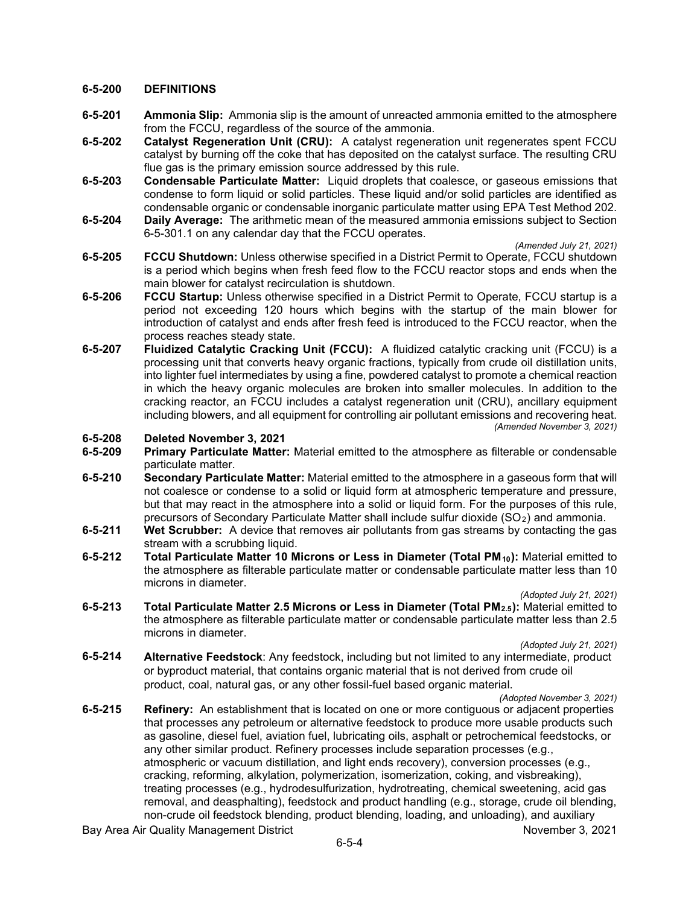## **6-5-200 DEFINITIONS**

- **6-5-201 Ammonia Slip:** Ammonia slip is the amount of unreacted ammonia emitted to the atmosphere from the FCCU, regardless of the source of the ammonia.
- **6-5-202 Catalyst Regeneration Unit (CRU):** A catalyst regeneration unit regenerates spent FCCU catalyst by burning off the coke that has deposited on the catalyst surface. The resulting CRU flue gas is the primary emission source addressed by this rule.
- **6-5-203 Condensable Particulate Matter:** Liquid droplets that coalesce, or gaseous emissions that condense to form liquid or solid particles. These liquid and/or solid particles are identified as condensable organic or condensable inorganic particulate matter using EPA Test Method 202.
- **6-5-204 Daily Average:** The arithmetic mean of the measured ammonia emissions subject to Section 6-5-301.1 on any calendar day that the FCCU operates.

*(Amended July 21, 2021)*

- **6-5-205 FCCU Shutdown:** Unless otherwise specified in a District Permit to Operate, FCCU shutdown is a period which begins when fresh feed flow to the FCCU reactor stops and ends when the main blower for catalyst recirculation is shutdown.
- **6-5-206 FCCU Startup:** Unless otherwise specified in a District Permit to Operate, FCCU startup is a period not exceeding 120 hours which begins with the startup of the main blower for introduction of catalyst and ends after fresh feed is introduced to the FCCU reactor, when the process reaches steady state.
- **6-5-207 Fluidized Catalytic Cracking Unit (FCCU):** A fluidized catalytic cracking unit (FCCU) is a processing unit that converts heavy organic fractions, typically from crude oil distillation units, into lighter fuel intermediates by using a fine, powdered catalyst to promote a chemical reaction in which the heavy organic molecules are broken into smaller molecules. In addition to the cracking reactor, an FCCU includes a catalyst regeneration unit (CRU), ancillary equipment including blowers, and all equipment for controlling air pollutant emissions and recovering heat. *(Amended November 3, 2021)*

# **6-5-208 Deleted November 3, 2021**

- **6-5-209 Primary Particulate Matter:** Material emitted to the atmosphere as filterable or condensable particulate matter.
- **6-5-210 Secondary Particulate Matter:** Material emitted to the atmosphere in a gaseous form that will not coalesce or condense to a solid or liquid form at atmospheric temperature and pressure, but that may react in the atmosphere into a solid or liquid form. For the purposes of this rule, precursors of Secondary Particulate Matter shall include sulfur dioxide (SO2) and ammonia.
- **6-5-211 Wet Scrubber:** A device that removes air pollutants from gas streams by contacting the gas stream with a scrubbing liquid.
- **6-5-212 Total Particulate Matter 10 Microns or Less in Diameter (Total PM10):** Material emitted to the atmosphere as filterable particulate matter or condensable particulate matter less than 10 microns in diameter. *(Adopted July 21, 2021)*
- **6-5-213 Total Particulate Matter 2.5 Microns or Less in Diameter (Total PM2.5):** Material emitted to the atmosphere as filterable particulate matter or condensable particulate matter less than 2.5 microns in diameter.

*(Adopted July 21, 2021)*

**6-5-214 Alternative Feedstock**: Any feedstock, including but not limited to any intermediate, product or byproduct material, that contains organic material that is not derived from crude oil product, coal, natural gas, or any other fossil-fuel based organic material.

*(Adopted November 3, 2021)*

**6-5-215 Refinery:** An establishment that is located on one or more contiguous or adjacent properties that processes any petroleum or alternative feedstock to produce more usable products such as gasoline, diesel fuel, aviation fuel, lubricating oils, asphalt or petrochemical feedstocks, or any other similar product. Refinery processes include separation processes (e.g., atmospheric or vacuum distillation, and light ends recovery), conversion processes (e.g., cracking, reforming, alkylation, polymerization, isomerization, coking, and visbreaking), treating processes (e.g., hydrodesulfurization, hydrotreating, chemical sweetening, acid gas removal, and deasphalting), feedstock and product handling (e.g., storage, crude oil blending, non-crude oil feedstock blending, product blending, loading, and unloading), and auxiliary

Bay Area Air Quality Management District November 3, 2021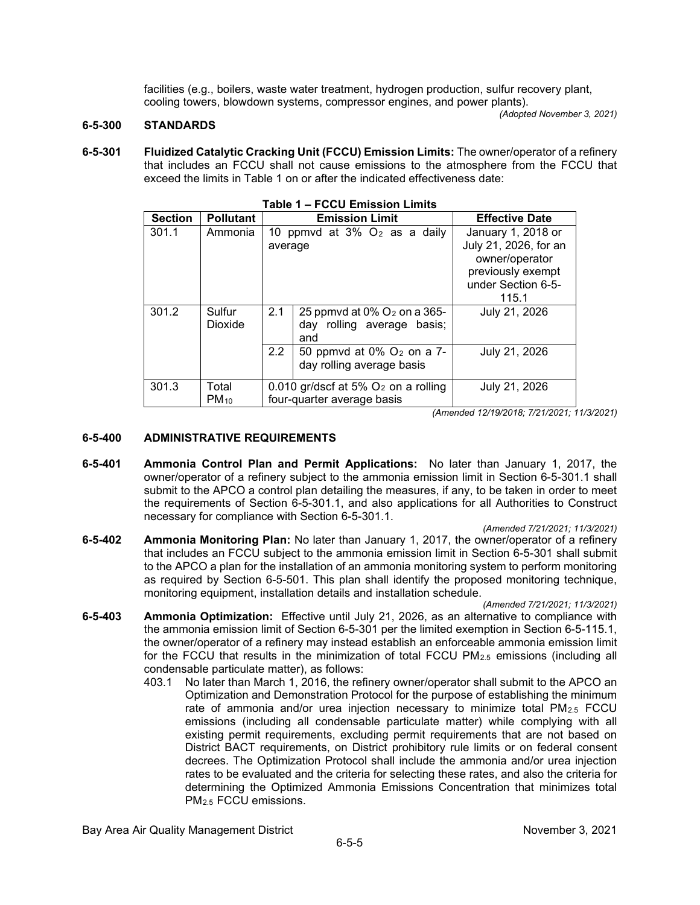facilities (e.g., boilers, waste water treatment, hydrogen production, sulfur recovery plant, cooling towers, blowdown systems, compressor engines, and power plants).

*(Adopted November 3, 2021)*

## **6-5-300 STANDARDS**

**6-5-301 Fluidized Catalytic Cracking Unit (FCCU) Emission Limits:** The owner/operator of a refinery that includes an FCCU shall not cause emissions to the atmosphere from the FCCU that exceed the limits in Table 1 on or after the indicated effectiveness date:

| TADIE T – LOCO ENIISSION FININS |                                         |                                                 |                                                                                 |                       |
|---------------------------------|-----------------------------------------|-------------------------------------------------|---------------------------------------------------------------------------------|-----------------------|
| <b>Section</b>                  | <b>Pollutant</b>                        | <b>Emission Limit</b>                           |                                                                                 | <b>Effective Date</b> |
| 301.1                           | Ammonia                                 |                                                 | 10 ppmvd at $3\%$ O <sub>2</sub> as a daily                                     | January 1, 2018 or    |
|                                 |                                         | average                                         |                                                                                 | July 21, 2026, for an |
|                                 |                                         |                                                 |                                                                                 | owner/operator        |
|                                 |                                         |                                                 |                                                                                 | previously exempt     |
|                                 |                                         |                                                 |                                                                                 | under Section 6-5-    |
|                                 |                                         |                                                 |                                                                                 | 115.1                 |
| 301.2                           | Sulfur<br>Dioxide                       | 2.1                                             | 25 ppmvd at $0\%$ O <sub>2</sub> on a 365-<br>day rolling average basis;<br>and | July 21, 2026         |
|                                 |                                         | $2.2^{\circ}$                                   | 50 ppmvd at 0% O <sub>2</sub> on a 7-<br>day rolling average basis              | July 21, 2026         |
| 301.3                           | Total                                   | 0.010 gr/dscf at 5% O <sub>2</sub> on a rolling |                                                                                 | July 21, 2026         |
|                                 | four-quarter average basis<br>$PM_{10}$ |                                                 |                                                                                 |                       |

*(Amended 12/19/2018; 7/21/2021; 11/3/2021)*

## **6-5-400 ADMINISTRATIVE REQUIREMENTS**

**6-5-401 Ammonia Control Plan and Permit Applications:** No later than January 1, 2017, the owner/operator of a refinery subject to the ammonia emission limit in Section 6-5-301.1 shall submit to the APCO a control plan detailing the measures, if any, to be taken in order to meet the requirements of Section 6-5-301.1, and also applications for all Authorities to Construct necessary for compliance with Section 6-5-301.1.

#### *(Amended 7/21/2021; 11/3/2021)*

**6-5-402 Ammonia Monitoring Plan:** No later than January 1, 2017, the owner/operator of a refinery that includes an FCCU subject to the ammonia emission limit in Section 6-5-301 shall submit to the APCO a plan for the installation of an ammonia monitoring system to perform monitoring as required by Section 6-5-501. This plan shall identify the proposed monitoring technique, monitoring equipment, installation details and installation schedule.

*(Amended 7/21/2021; 11/3/2021)*

- **6-5-403 Ammonia Optimization:** Effective until July 21, 2026, as an alternative to compliance with the ammonia emission limit of Section 6-5-301 per the limited exemption in Section 6-5-115.1, the owner/operator of a refinery may instead establish an enforceable ammonia emission limit for the FCCU that results in the minimization of total FCCU  $PM_{2.5}$  emissions (including all condensable particulate matter), as follows:
	- 403.1 No later than March 1, 2016, the refinery owner/operator shall submit to the APCO an Optimization and Demonstration Protocol for the purpose of establishing the minimum rate of ammonia and/or urea injection necessary to minimize total  $PM_{2.5}$  FCCU emissions (including all condensable particulate matter) while complying with all existing permit requirements, excluding permit requirements that are not based on District BACT requirements, on District prohibitory rule limits or on federal consent decrees. The Optimization Protocol shall include the ammonia and/or urea injection rates to be evaluated and the criteria for selecting these rates, and also the criteria for determining the Optimized Ammonia Emissions Concentration that minimizes total PM2.5 FCCU emissions.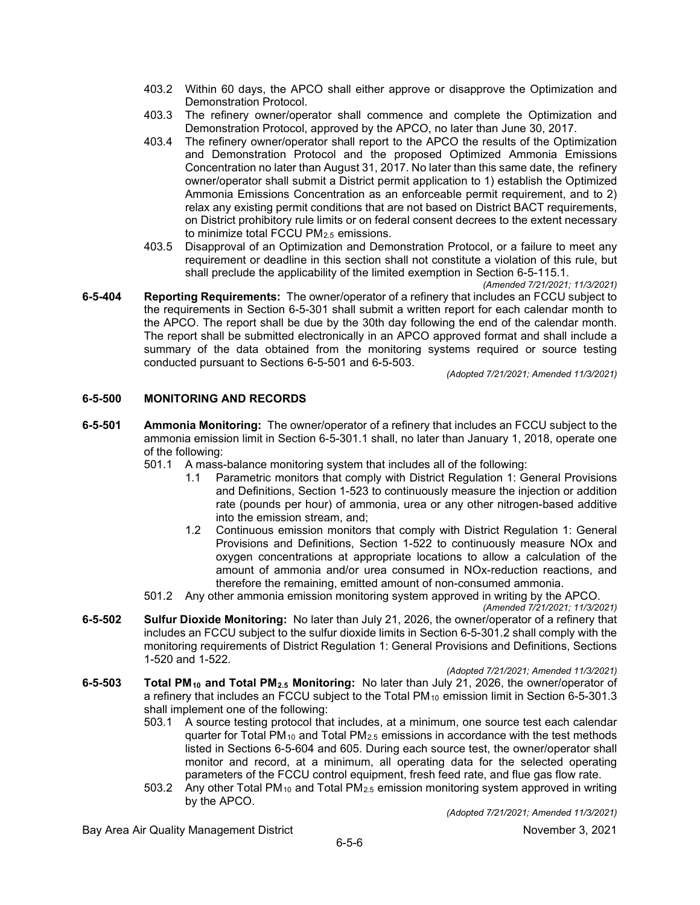- 403.2 Within 60 days, the APCO shall either approve or disapprove the Optimization and Demonstration Protocol.
- 403.3 The refinery owner/operator shall commence and complete the Optimization and Demonstration Protocol, approved by the APCO, no later than June 30, 2017.
- 403.4 The refinery owner/operator shall report to the APCO the results of the Optimization and Demonstration Protocol and the proposed Optimized Ammonia Emissions Concentration no later than August 31, 2017. No later than this same date, the refinery owner/operator shall submit a District permit application to 1) establish the Optimized Ammonia Emissions Concentration as an enforceable permit requirement, and to 2) relax any existing permit conditions that are not based on District BACT requirements, on District prohibitory rule limits or on federal consent decrees to the extent necessary to minimize total FCCU PM<sub>2.5</sub> emissions.
- 403.5 Disapproval of an Optimization and Demonstration Protocol, or a failure to meet any requirement or deadline in this section shall not constitute a violation of this rule, but shall preclude the applicability of the limited exemption in Section 6-5-115.1.

*(Amended 7/21/2021; 11/3/2021)*

**6-5-404 Reporting Requirements:** The owner/operator of a refinery that includes an FCCU subject to the requirements in Section 6-5-301 shall submit a written report for each calendar month to the APCO. The report shall be due by the 30th day following the end of the calendar month. The report shall be submitted electronically in an APCO approved format and shall include a summary of the data obtained from the monitoring systems required or source testing conducted pursuant to Sections 6-5-501 and 6-5-503.

*(Adopted 7/21/2021; Amended 11/3/2021)*

## **6-5-500 MONITORING AND RECORDS**

**6-5-501 Ammonia Monitoring:** The owner/operator of a refinery that includes an FCCU subject to the ammonia emission limit in Section 6-5-301.1 shall, no later than January 1, 2018, operate one of the following:

501.1 A mass-balance monitoring system that includes all of the following:

- 1.1 Parametric monitors that comply with District Regulation 1: General Provisions and Definitions, Section 1-523 to continuously measure the injection or addition rate (pounds per hour) of ammonia, urea or any other nitrogen-based additive into the emission stream, and;
- 1.2 Continuous emission monitors that comply with District Regulation 1: General Provisions and Definitions, Section 1-522 to continuously measure NOx and oxygen concentrations at appropriate locations to allow a calculation of the amount of ammonia and/or urea consumed in NOx-reduction reactions, and therefore the remaining, emitted amount of non-consumed ammonia.
- 501.2 Any other ammonia emission monitoring system approved in writing by the APCO.

*(Amended 7/21/2021; 11/3/2021)*

- **6-5-502 Sulfur Dioxide Monitoring:** No later than July 21, 2026, the owner/operator of a refinery that includes an FCCU subject to the sulfur dioxide limits in Section 6-5-301.2 shall comply with the monitoring requirements of District Regulation 1: General Provisions and Definitions, Sections 1-520 and 1-522.
	- *(Adopted 7/21/2021; Amended 11/3/2021)*
- **6-5-503 Total PM10 and Total PM2.5 Monitoring:** No later than July 21, 2026, the owner/operator of a refinery that includes an FCCU subject to the Total PM<sub>10</sub> emission limit in Section 6-5-301.3 shall implement one of the following:
	- 503.1 A source testing protocol that includes, at a minimum, one source test each calendar quarter for Total PM<sub>10</sub> and Total PM<sub>2.5</sub> emissions in accordance with the test methods listed in Sections 6-5-604 and 605. During each source test, the owner/operator shall monitor and record, at a minimum, all operating data for the selected operating parameters of the FCCU control equipment, fresh feed rate, and flue gas flow rate.
	- 503.2 Any other Total PM<sub>10</sub> and Total PM<sub>2.5</sub> emission monitoring system approved in writing by the APCO.

*(Adopted 7/21/2021; Amended 11/3/2021)*